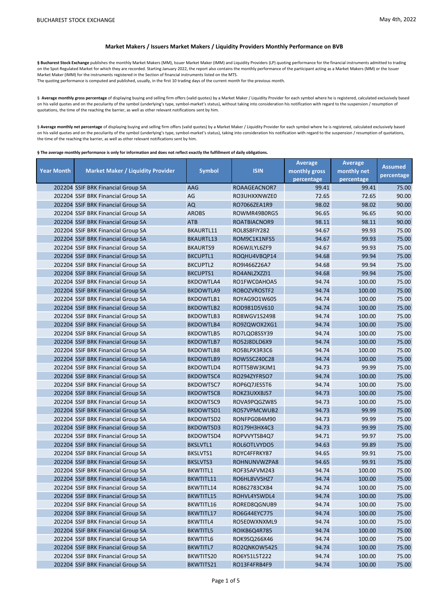## **Market Makers / Issuers Market Makers / Liquidity Providers Monthly Performance on BVB**

§ Bucharest Stock Exchange publishes the monthly Market Makers (MM), Issuer Market Maker (IMM) and Liquidity Providers (LP) quoting performance for the financial instruments admitted to trading on the Spot Regulated Market for which they are recorded. Starting January 2022, the report also contains the monthly performance of the participant acting as a Market Makers (MM) or the Issuer Market Maker (IMM) for the instruments registered in the Section of financial instruments listed on the MTS. The quoting performance is computed and published, usually, in the first 10 trading days of the current month for the previous month.

§ Average monthly gross percentage of displaying buying and selling firm offers (valid quotes) by a Market Maker / Liquidity Provider for each symbol where he is registered, calculated exclusively based on his valid quotes and on the peculiarity of the symbol (underlying's type, symbol-market's status), without taking into consideration his notification with regard to the suspension / resumption of quotations, the time of the reaching the barrier, as well as other relevant notifications sent by him.

§ Average monthly net percentage of displaying buying and selling firm offers (valid quotes) by a Market Maker / Liquidity Provider for each symbol where he is registered, calculated exclusively based on his valid quotes and on the peculiarity of the symbol (underlying's type, symbol-market's status), taking into consideration his notification with regard to the suspension / resumption of quotations, the time of the reaching the barrier, as well as other relevant notifications sent by him.

**§ The average monthly performance is only for information and does not reflect exactly the fulfillment of daily obligations.** 

|                   |                                          |                  |              | <b>Average</b> | <b>Average</b> | <b>Assumed</b> |
|-------------------|------------------------------------------|------------------|--------------|----------------|----------------|----------------|
| <b>Year Month</b> | <b>Market Maker / Liquidity Provider</b> | <b>Symbol</b>    | <b>ISIN</b>  | monthly gross  | monthly net    | percentage     |
|                   |                                          |                  |              | percentage     | percentage     |                |
|                   | 202204 SSIF BRK Financial Group SA       | AAG              | ROAAGEACNOR7 | 99.41          | 99.41          | 75.00          |
|                   | 202204 SSIF BRK Financial Group SA       | AG               | RO3UHXXNWZE0 | 72.65          | 72.65          | 90.00          |
|                   | 202204 SSIF BRK Financial Group SA       | <b>AQ</b>        | RO7066ZEA1R9 | 98.02          | 98.02          | 90.00          |
|                   | 202204 SSIF BRK Financial Group SA       | <b>AROBS</b>     | ROWMR49B0RG5 | 96.65          | 96.65          | 90.00          |
|                   | 202204 SSIF BRK Financial Group SA       | <b>ATB</b>       | ROATBIACNOR9 | 98.11          | 98.11          | 90.00          |
|                   | 202204 SSIF BRK Financial Group SA       | BKAURTL11        | ROL8S8FIY282 | 94.67          | 99.93          | 75.00          |
|                   | 202204 SSIF BRK Financial Group SA       | <b>BKAURTL13</b> | ROM9C1K1NFS5 | 94.67          | 99.93          | 75.00          |
|                   | 202204 SSIF BRK Financial Group SA       | <b>BKAURTS9</b>  | RO6WJLYL6ZF9 | 94.67          | 99.93          | 75.00          |
|                   | 202204 SSIF BRK Financial Group SA       | <b>BKCUPTL1</b>  | ROQHU4VBQP14 | 94.68          | 99.94          | 75.00          |
|                   | 202204 SSIF BRK Financial Group SA       | <b>BKCUPTL2</b>  | RO9I466Z26A7 | 94.68          | 99.94          | 75.00          |
|                   | 202204 SSIF BRK Financial Group SA       | <b>BKCUPTS1</b>  | RO4ANLZXZZI1 | 94.68          | 99.94          | 75.00          |
|                   | 202204 SSIF BRK Financial Group SA       | BKDOWTLA4        | RO1FWC0AHOA5 | 94.74          | 100.00         | 75.00          |
|                   | 202204 SSIF BRK Financial Group SA       | <b>BKDOWTLA9</b> | ROBOZVROSTF2 | 94.74          | 100.00         | 75.00          |
|                   | 202204 SSIF BRK Financial Group SA       | BKDOWTLB1        | ROYAG901W605 | 94.74          | 100.00         | 75.00          |
|                   | 202204 SSIF BRK Financial Group SA       | <b>BKDOWTLB2</b> | ROD981D5V610 | 94.74          | 100.00         | 75.00          |
|                   | 202204 SSIF BRK Financial Group SA       | BKDOWTLB3        | RO8WGV1S2498 | 94.74          | 100.00         | 75.00          |
|                   | 202204 SSIF BRK Financial Group SA       | <b>BKDOWTLB4</b> | RO9ZQWOX2XG1 | 94.74          | 100.00         | 75.00          |
|                   | 202204 SSIF BRK Financial Group SA       | <b>BKDOWTLB5</b> | RO7LQO8SSY39 | 94.74          | 100.00         | 75.00          |
|                   | 202204 SSIF BRK Financial Group SA       | <b>BKDOWTLB7</b> | RO52J8DLD6X9 | 94.74          | 100.00         | 75.00          |
|                   | 202204 SSIF BRK Financial Group SA       | <b>BKDOWTLB8</b> | RO5BLPX3R3C6 | 94.74          | 100.00         | 75.00          |
|                   | 202204 SSIF BRK Financial Group SA       | <b>BKDOWTLB9</b> | ROW5SCZ40C28 | 94.74          | 100.00         | 75.00          |
|                   | 202204 SSIF BRK Financial Group SA       | BKDOWTLD4        | ROTT5BW3KJM1 | 94.73          | 99.99          | 75.00          |
|                   | 202204 SSIF BRK Financial Group SA       | BKDOWTSC4        | RO294ZYFRSO7 | 94.74          | 100.00         | 75.00          |
|                   | 202204 SSIF BRK Financial Group SA       | BKDOWTSC7        | ROP6Q7JES5T6 | 94.74          | 100.00         | 75.00          |
|                   | 202204 SSIF BRK Financial Group SA       | <b>BKDOWTSC8</b> | ROKZ3UXXBJS7 | 94.73          | 100.00         | 75.00          |
|                   | 202204 SSIF BRK Financial Group SA       | BKDOWTSC9        | ROVA9PQGZW85 | 94.73          | 100.00         | 75.00          |
|                   | 202204 SSIF BRK Financial Group SA       | BKDOWTSD1        | ROS7VPMCWUB2 | 94.73          | 99.99          | 75.00          |
|                   | 202204 SSIF BRK Financial Group SA       | BKDOWTSD2        | RONFPG084M90 | 94.73          | 99.99          | 75.00          |
|                   | 202204 SSIF BRK Financial Group SA       | <b>BKDOWTSD3</b> | RO179H3HX4C3 | 94.73          | 99.99          | 75.00          |
|                   | 202204 SSIF BRK Financial Group SA       | BKDOWTSD4        | ROPVVYTSB4Q7 | 94.71          | 99.97          | 75.00          |
|                   | 202204 SSIF BRK Financial Group SA       | <b>BKSLVTL1</b>  | ROL6OTLVYDO5 | 94.63          | 99.89          | 75.00          |
|                   | 202204 SSIF BRK Financial Group SA       | <b>BKSLVTS1</b>  | ROYC4FFRKY87 | 94.65          | 99.91          | 75.00          |
|                   | 202204 SSIF BRK Financial Group SA       | <b>BKSLVTS3</b>  | ROHNUNVWZPA8 | 94.65          | 99.91          | 75.00          |
|                   | 202204 SSIF BRK Financial Group SA       | <b>BKWTITL1</b>  | ROF35AFVM243 | 94.74          | 100.00         | 75.00          |
|                   | 202204 SSIF BRK Financial Group SA       | BKWTITL11        | RO6HL8VVSHZ7 | 94.74          | 100.00         | 75.00          |
|                   | 202204 SSIF BRK Financial Group SA       | BKWTITL14        | RO862783CXB4 | 94.74          | 100.00         | 75.00          |
|                   | 202204 SSIF BRK Financial Group SA       | BKWTITL15        | ROHVL4YSWDL4 | 94.74          | 100.00         | 75.00          |
|                   | 202204 SSIF BRK Financial Group SA       | BKWTITL16        | RORED8QGNUB9 | 94.74          | 100.00         | 75.00          |
|                   | 202204 SSIF BRK Financial Group SA       | BKWTITL17        | RO6G44EYC775 | 94.74          | 100.00         | 75.00          |
|                   | 202204 SSIF BRK Financial Group SA       | <b>BKWTITL4</b>  | RO5E0WXNXML9 | 94.74          | 100.00         | 75.00          |
|                   | 202204 SSIF BRK Financial Group SA       | <b>BKWTITL5</b>  | ROIKB6Q4R785 | 94.74          | 100.00         | 75.00          |
|                   | 202204 SSIF BRK Financial Group SA       | BKWTITL6         | ROK9SQ266X46 | 94.74          | 100.00         | 75.00          |
|                   | 202204 SSIF BRK Financial Group SA       | <b>BKWTITL7</b>  | RO2QNKOW5425 | 94.74          | 100.00         | 75.00          |
|                   | 202204 SSIF BRK Financial Group SA       | BKWTITS20        | RO6Y51L5T222 | 94.74          | 100.00         | 75.00          |
|                   | 202204 SSIF BRK Financial Group SA       | BKWTITS21        | RO13F4FRB4F9 | 94.74          | 100.00         | 75.00          |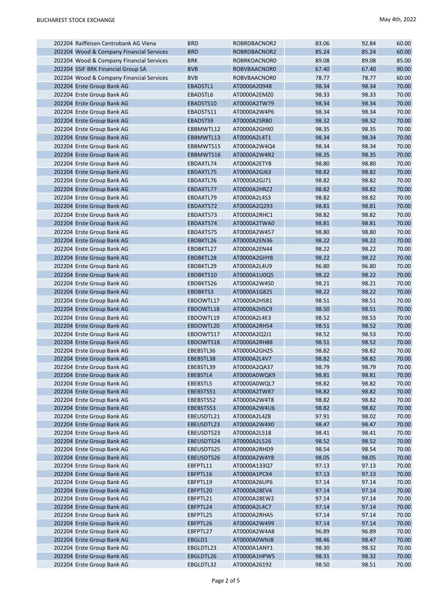|  | 202204 Raiffeisen Centrobank AG Viena    | <b>BRD</b> | ROBRDBACNOR2 | 83.06 | 92.84 | 60.00 |
|--|------------------------------------------|------------|--------------|-------|-------|-------|
|  | 202204 Wood & Company Financial Services | <b>BRD</b> | ROBRDBACNOR2 | 85.24 | 85.24 | 60.00 |
|  | 202204 Wood & Company Financial Services | <b>BRK</b> | ROBRKOACNOR0 | 89.08 | 89.08 | 85.00 |
|  | 202204 SSIF BRK Financial Group SA       | <b>BVB</b> | ROBVBAACNOR0 | 67.40 | 67.40 | 90.00 |
|  | 202204 Wood & Company Financial Services | <b>BVB</b> | ROBVBAACNOR0 | 78.77 | 78.77 | 60.00 |
|  | 202204 Erste Group Bank AG               | EBADSTL1   | AT0000A20948 | 98.34 | 98.34 | 70.00 |
|  | 202204 Erste Group Bank AG               | EBADSTL6   | AT0000A2EMZ0 | 98.33 | 98.33 | 70.00 |
|  | 202204 Erste Group Bank AG               | EBADSTS10  | AT0000A2TW79 | 98.34 | 98.34 | 70.00 |
|  |                                          |            | AT0000A2W4P6 | 98.34 | 98.34 | 70.00 |
|  | 202204 Erste Group Bank AG               | EBADSTS11  |              |       |       |       |
|  | 202204 Erste Group Bank AG               | EBADSTS9   | AT0000A2SRB0 | 98.32 | 98.32 | 70.00 |
|  | 202204 Erste Group Bank AG               | EBBMWTL12  | AT0000A2GHX0 | 98.35 | 98.35 | 70.00 |
|  | 202204 Erste Group Bank AG               | EBBMWTL13  | AT0000A2L4T1 | 98.34 | 98.34 | 70.00 |
|  | 202204 Erste Group Bank AG               | EBBMWTS15  | AT0000A2W4Q4 | 98.34 | 98.34 | 70.00 |
|  | 202204 Erste Group Bank AG               | EBBMWTS16  | AT0000A2W4R2 | 98.35 | 98.35 | 70.00 |
|  | 202204 Erste Group Bank AG               | EBDAXTL74  | AT0000A2ETY8 | 98.80 | 98.80 | 70.00 |
|  | 202204 Erste Group Bank AG               | EBDAXTL75  | AT0000A2GJ63 | 98.82 | 98.82 | 70.00 |
|  | 202204 Erste Group Bank AG               | EBDAXTL76  | AT0000A2GJ71 | 98.82 | 98.82 | 70.00 |
|  | 202204 Erste Group Bank AG               | EBDAXTL77  | AT0000A2HRZ2 | 98.82 | 98.82 | 70.00 |
|  | 202204 Erste Group Bank AG               | EBDAXTL79  | AT0000A2L4S3 | 98.82 | 98.82 | 70.00 |
|  | 202204 Erste Group Bank AG               | EBDAXTS72  | AT0000A2Q293 | 98.81 | 98.81 | 70.00 |
|  | 202204 Erste Group Bank AG               | EBDAXTS73  | AT0000A2RHC1 | 98.82 | 98.82 | 70.00 |
|  | 202204 Erste Group Bank AG               | EBDAXTS74  | AT0000A2TWA0 | 98.81 | 98.81 | 70.00 |
|  | 202204 Erste Group Bank AG               | EBDAXTS75  | AT0000A2W457 | 98.80 | 98.80 | 70.00 |
|  | 202204 Erste Group Bank AG               | EBDBKTL26  | AT0000A2EN36 | 98.22 | 98.22 | 70.00 |
|  | 202204 Erste Group Bank AG               | EBDBKTL27  | AT0000A2EN44 | 98.22 | 98.22 | 70.00 |
|  | 202204 Erste Group Bank AG               | EBDBKTL28  | AT0000A2GHY8 | 98.22 | 98.22 | 70.00 |
|  | 202204 Erste Group Bank AG               | EBDBKTL29  | AT0000A2L4U9 | 96.80 | 96.80 | 70.00 |
|  | 202204 Erste Group Bank AG               | EBDBKTS10  | AT0000A1U0Q5 | 98.22 | 98.22 | 70.00 |
|  | 202204 Erste Group Bank AG               | EBDBKTS26  | AT0000A2W4S0 | 98.21 | 98.21 | 70.00 |
|  | 202204 Erste Group Bank AG               | EBDBKTS3   | AT0000A1G825 | 98.22 | 98.22 | 70.00 |
|  |                                          |            |              |       |       |       |
|  | 202204 Erste Group Bank AG               | EBDOWTL17  | AT0000A2HSB1 | 98.51 | 98.51 | 70.00 |
|  | 202204 Erste Group Bank AG               | EBDOWTL18  | AT0000A2HSC9 | 98.50 | 98.51 | 70.00 |
|  | 202204 Erste Group Bank AG               | EBDOWTL19  | AT0000A2L4E3 | 98.52 | 98.53 | 70.00 |
|  | 202204 Erste Group Bank AG               | EBDOWTL20  | AT0000A2RH54 | 98.51 | 98.52 | 70.00 |
|  | 202204 Erste Group Bank AG               | EBDOWTS17  | AT0000A2Q2J1 | 98.52 | 98.53 | 70.00 |
|  | 202204 Erste Group Bank AG               | EBDOWTS18  | AT0000A2RH88 | 98.51 | 98.52 | 70.00 |
|  | 202204 Erste Group Bank AG               | EBEBSTL36  | AT0000A2GHZ5 | 98.82 | 98.82 | 70.00 |
|  | 202204 Erste Group Bank AG               | EBEBSTL38  | AT0000A2L4V7 | 98.82 | 98.82 | 70.00 |
|  | 202204 Erste Group Bank AG               | EBEBSTL39  | AT0000A2QA37 | 98.79 | 98.79 | 70.00 |
|  | 202204 Erste Group Bank AG               | EBEBSTL4   | AT0000A0WQK9 | 98.81 | 98.81 | 70.00 |
|  | 202204 Erste Group Bank AG               | EBEBSTL5   | AT0000A0WQL7 | 98.82 | 98.82 | 70.00 |
|  | 202204 Erste Group Bank AG               | EBEBSTS51  | AT0000A2TW87 | 98.82 | 98.82 | 70.00 |
|  | 202204 Erste Group Bank AG               | EBEBSTS52  | AT0000A2W4T8 | 98.82 | 98.82 | 70.00 |
|  | 202204 Erste Group Bank AG               | EBEBSTS53  | AT0000A2W4U6 | 98.82 | 98.82 | 70.00 |
|  | 202204 Erste Group Bank AG               | EBEUSDTL21 | AT0000A2L4Z8 | 97.91 | 98.02 | 70.00 |
|  | 202204 Erste Group Bank AG               | EBEUSDTL23 | AT0000A2W4X0 | 98.47 | 98.47 | 70.00 |
|  | 202204 Erste Group Bank AG               | EBEUSDTS23 | AT0000A2L518 | 98.41 | 98.41 | 70.00 |
|  | 202204 Erste Group Bank AG               | EBEUSDTS24 | AT0000A2L526 | 98.52 | 98.52 | 70.00 |
|  | 202204 Erste Group Bank AG               | EBEUSDTS25 | AT0000A2RHD9 | 98.54 | 98.54 | 70.00 |
|  | 202204 Erste Group Bank AG               | EBEUSDTS26 | AT0000A2W4Y8 | 98.05 | 98.05 | 70.00 |
|  | 202204 Erste Group Bank AG               | EBFPTL11   | AT0000A133Q7 | 97.13 | 97.13 | 70.00 |
|  | 202204 Erste Group Bank AG               | EBFPTL16   | AT0000A1PCX4 | 97.13 | 97.13 | 70.00 |
|  | 202204 Erste Group Bank AG               | EBFPTL19   | AT0000A26UP6 | 97.14 | 97.14 | 70.00 |
|  | 202204 Erste Group Bank AG               | EBFPTL20   | AT0000A28EV4 | 97.14 | 97.14 | 70.00 |
|  | 202204 Erste Group Bank AG               | EBFPTL21   | AT0000A28EW2 | 97.14 | 97.14 | 70.00 |
|  | 202204 Erste Group Bank AG               | EBFPTL24   | AT0000A2L4C7 | 97.14 | 97.14 | 70.00 |
|  | 202204 Erste Group Bank AG               | EBFPTL25   | AT0000A2RHA5 | 97.14 | 97.14 | 70.00 |
|  | 202204 Erste Group Bank AG               | EBFPTL26   | AT0000A2W499 | 97.14 | 97.14 | 70.00 |
|  | 202204 Erste Group Bank AG               | EBFPTL27   | AT0000A2W4A8 | 96.89 | 96.89 | 70.00 |
|  | 202204 Erste Group Bank AG               | EBGLD1     | AT0000A0WNJ8 | 98.46 | 98.47 | 70.00 |
|  | 202204 Erste Group Bank AG               | EBGLDTL23  | AT0000A1ANY1 | 98.30 | 98.32 | 70.00 |
|  | 202204 Erste Group Bank AG               | EBGLDTL26  | AT0000A1HPW5 | 98.31 | 98.32 | 70.00 |
|  | 202204 Erste Group Bank AG               | EBGLDTL32  | AT0000A26192 | 98.50 | 98.51 | 70.00 |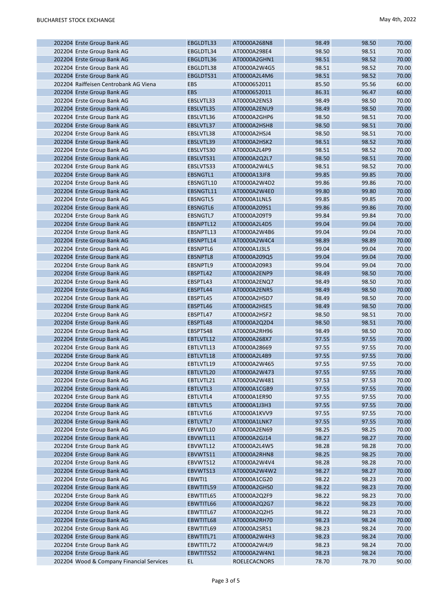| 202204 Erste Group Bank AG               | EBGLDTL33       | AT0000A268N8 | 98.49 | 98.50 | 70.00 |
|------------------------------------------|-----------------|--------------|-------|-------|-------|
| 202204 Erste Group Bank AG               | EBGLDTL34       | AT0000A298E4 | 98.50 | 98.51 | 70.00 |
| 202204 Erste Group Bank AG               | EBGLDTL36       | AT0000A2GHN1 | 98.51 | 98.52 | 70.00 |
| 202204 Erste Group Bank AG               | EBGLDTL38       | AT0000A2W4G5 | 98.51 | 98.52 | 70.00 |
| 202204 Erste Group Bank AG               | EBGLDTS31       | AT0000A2L4M6 | 98.51 | 98.52 | 70.00 |
| 202204 Raiffeisen Centrobank AG Viena    | EBS             | AT0000652011 | 85.50 | 95.56 | 60.00 |
| 202204 Erste Group Bank AG               | <b>EBS</b>      | AT0000652011 | 86.31 | 96.47 | 60.00 |
| 202204 Erste Group Bank AG               | EBSLVTL33       | AT0000A2ENS3 | 98.49 | 98.50 | 70.00 |
| 202204 Erste Group Bank AG               | EBSLVTL35       | AT0000A2ENU9 | 98.49 | 98.50 | 70.00 |
| 202204 Erste Group Bank AG               | EBSLVTL36       | AT0000A2GHP6 | 98.50 | 98.51 | 70.00 |
| 202204 Erste Group Bank AG               | EBSLVTL37       | AT0000A2HSH8 | 98.50 | 98.51 | 70.00 |
| 202204 Erste Group Bank AG               | EBSLVTL38       | AT0000A2HSJ4 | 98.50 | 98.51 | 70.00 |
| 202204 Erste Group Bank AG               | EBSLVTL39       | AT0000A2HSK2 | 98.51 | 98.52 | 70.00 |
| 202204 Erste Group Bank AG               | EBSLVTS30       | AT0000A2L4P9 | 98.51 | 98.52 | 70.00 |
| 202204 Erste Group Bank AG               | EBSLVTS31       | AT0000A2Q2L7 | 98.50 | 98.51 | 70.00 |
| 202204 Erste Group Bank AG               | EBSLVTS33       | AT0000A2W4L5 | 98.51 | 98.52 | 70.00 |
| 202204 Erste Group Bank AG               | EBSNGTL1        | AT0000A13JF8 | 99.85 | 99.85 | 70.00 |
| 202204 Erste Group Bank AG               |                 |              | 99.86 | 99.86 | 70.00 |
|                                          | EBSNGTL10       | AT0000A2W4D2 |       |       |       |
| 202204 Erste Group Bank AG               | EBSNGTL11       | AT0000A2W4E0 | 99.80 | 99.80 | 70.00 |
| 202204 Erste Group Bank AG               | EBSNGTL5        | AT0000A1LNL5 | 99.85 | 99.85 | 70.00 |
| 202204 Erste Group Bank AG               | <b>EBSNGTL6</b> | AT0000A209S1 | 99.86 | 99.86 | 70.00 |
| 202204 Erste Group Bank AG               | EBSNGTL7        | AT0000A209T9 | 99.84 | 99.84 | 70.00 |
| 202204 Erste Group Bank AG               | EBSNPTL12       | AT0000A2L4D5 | 99.04 | 99.04 | 70.00 |
| 202204 Erste Group Bank AG               | EBSNPTL13       | AT0000A2W4B6 | 99.04 | 99.04 | 70.00 |
| 202204 Erste Group Bank AG               | EBSNPTL14       | AT0000A2W4C4 | 98.89 | 98.89 | 70.00 |
| 202204 Erste Group Bank AG               | EBSNPTL6        | AT0000A1J3L5 | 99.04 | 99.04 | 70.00 |
| 202204 Erste Group Bank AG               | EBSNPTL8        | AT0000A209Q5 | 99.04 | 99.04 | 70.00 |
| 202204 Erste Group Bank AG               | EBSNPTL9        | AT0000A209R3 | 99.04 | 99.04 | 70.00 |
| 202204 Erste Group Bank AG               | EBSPTL42        | AT0000A2ENP9 | 98.49 | 98.50 | 70.00 |
| 202204 Erste Group Bank AG               | EBSPTL43        | AT0000A2ENQ7 | 98.49 | 98.50 | 70.00 |
| 202204 Erste Group Bank AG               | EBSPTL44        | AT0000A2ENR5 | 98.49 | 98.50 | 70.00 |
| 202204 Erste Group Bank AG               | EBSPTL45        | AT0000A2HSD7 | 98.49 | 98.50 | 70.00 |
| 202204 Erste Group Bank AG               | EBSPTL46        | AT0000A2HSE5 | 98.49 | 98.50 | 70.00 |
| 202204 Erste Group Bank AG               | EBSPTL47        | AT0000A2HSF2 | 98.50 | 98.51 | 70.00 |
| 202204 Erste Group Bank AG               | EBSPTL48        | AT0000A2Q2D4 | 98.50 | 98.51 | 70.00 |
| 202204 Erste Group Bank AG               | EBSPTS48        | AT0000A2RH96 | 98.49 | 98.50 | 70.00 |
| 202204 Erste Group Bank AG               | EBTLVTL12       | AT0000A268X7 | 97.55 | 97.55 | 70.00 |
| 202204 Erste Group Bank AG               | EBTLVTL13       | AT0000A28669 | 97.55 | 97.55 | 70.00 |
| 202204 Erste Group Bank AG               | EBTLVTL18       | AT0000A2L4B9 | 97.55 | 97.55 | 70.00 |
| 202204 Erste Group Bank AG               | EBTLVTL19       | AT0000A2W465 | 97.55 | 97.55 | 70.00 |
| 202204 Erste Group Bank AG               | EBTLVTL20       | AT0000A2W473 | 97.55 | 97.55 | 70.00 |
| 202204 Erste Group Bank AG               | EBTLVTL21       | AT0000A2W481 | 97.53 | 97.53 | 70.00 |
| 202204 Erste Group Bank AG               | EBTLVTL3        | AT0000A1CGB9 | 97.55 | 97.55 | 70.00 |
| 202204 Erste Group Bank AG               | EBTLVTL4        | AT0000A1ER90 | 97.55 | 97.55 | 70.00 |
| 202204 Erste Group Bank AG               | EBTLVTL5        | AT0000A1J3H3 | 97.55 | 97.55 | 70.00 |
| 202204 Erste Group Bank AG               | EBTLVTL6        | AT0000A1KVV9 | 97.55 | 97.55 | 70.00 |
| 202204 Erste Group Bank AG               | EBTLVTL7        | AT0000A1LNK7 | 97.55 | 97.55 | 70.00 |
| 202204 Erste Group Bank AG               | EBVWTL10        | AT0000A2EN69 | 98.25 | 98.25 | 70.00 |
| 202204 Erste Group Bank AG               | EBVWTL11        | AT0000A2GJ14 | 98.27 | 98.27 | 70.00 |
| 202204 Erste Group Bank AG               | EBVWTL12        | AT0000A2L4W5 | 98.28 | 98.28 | 70.00 |
| 202204 Erste Group Bank AG               | EBVWTS11        | AT0000A2RHN8 | 98.25 | 98.25 | 70.00 |
| 202204 Erste Group Bank AG               | EBVWTS12        | AT0000A2W4V4 | 98.28 | 98.28 | 70.00 |
| 202204 Erste Group Bank AG               | EBVWTS13        |              | 98.27 | 98.27 | 70.00 |
|                                          |                 | AT0000A2W4W2 |       |       |       |
| 202204 Erste Group Bank AG               | EBWTI1          | AT0000A1CG20 | 98.22 | 98.23 | 70.00 |
| 202204 Erste Group Bank AG               | EBWTITL59       | AT0000A2GHS0 | 98.22 | 98.23 | 70.00 |
| 202204 Erste Group Bank AG               | EBWTITL65       | AT0000A2Q2F9 | 98.22 | 98.23 | 70.00 |
| 202204 Erste Group Bank AG               | EBWTITL66       | AT0000A2Q2G7 | 98.22 | 98.23 | 70.00 |
| 202204 Erste Group Bank AG               | EBWTITL67       | AT0000A2Q2H5 | 98.22 | 98.23 | 70.00 |
| 202204 Erste Group Bank AG               | EBWTITL68       | AT0000A2RH70 | 98.23 | 98.24 | 70.00 |
| 202204 Erste Group Bank AG               | EBWTITL69       | AT0000A2SR51 | 98.23 | 98.24 | 70.00 |
| 202204 Erste Group Bank AG               | EBWTITL71       | AT0000A2W4H3 | 98.23 | 98.24 | 70.00 |
| 202204 Erste Group Bank AG               | EBWTITL72       | AT0000A2W4J9 | 98.23 | 98.24 | 70.00 |
| 202204 Erste Group Bank AG               | EBWTITS52       | AT0000A2W4N1 | 98.23 | 98.24 | 70.00 |
| 202204 Wood & Company Financial Services | EL.             | ROELECACNOR5 | 78.70 | 78.70 | 90.00 |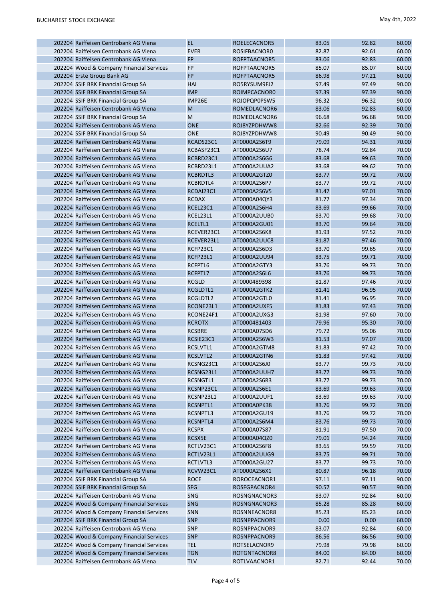| 202204 Raiffeisen Centrobank AG Viena                                       | <b>EL</b>       | ROELECACNOR5        | 83.05 | 92.82 | 60.00 |
|-----------------------------------------------------------------------------|-----------------|---------------------|-------|-------|-------|
| 202204 Raiffeisen Centrobank AG Viena                                       | <b>EVER</b>     | <b>ROSIFBACNOR0</b> | 82.87 | 92.61 | 60.00 |
| 202204 Raiffeisen Centrobank AG Viena                                       | <b>FP</b>       | ROFPTAACNOR5        | 83.06 | 92.83 | 60.00 |
| 202204 Wood & Company Financial Services                                    | <b>FP</b>       | ROFPTAACNOR5        | 85.07 | 85.07 | 60.00 |
| 202204 Erste Group Bank AG                                                  | <b>FP</b>       | ROFPTAACNOR5        | 86.98 | 97.21 | 60.00 |
| 202204 SSIF BRK Financial Group SA                                          | HAI             | RO5RYSUM9FJ2        | 97.49 | 97.49 | 90.00 |
| 202204 SSIF BRK Financial Group SA                                          | <b>IMP</b>      | ROIMPCACNOR0        | 97.39 | 97.39 | 90.00 |
| 202204 SSIF BRK Financial Group SA                                          | IMP26E          | ROJOPQP0PSW5        | 96.32 | 96.32 | 90.00 |
| 202204 Raiffeisen Centrobank AG Viena                                       | M               | ROMEDLACNOR6        | 83.06 | 92.83 | 60.00 |
| 202204 SSIF BRK Financial Group SA                                          | M               | ROMEDLACNOR6        | 96.68 | 96.68 | 90.00 |
| 202204 Raiffeisen Centrobank AG Viena                                       | <b>ONE</b>      | ROJ8YZPDHWW8        | 82.66 | 92.39 | 70.00 |
| 202204 SSIF BRK Financial Group SA                                          | <b>ONE</b>      | ROJ8YZPDHWW8        | 90.49 | 90.49 | 90.00 |
| 202204 Raiffeisen Centrobank AG Viena                                       | RCADS23C1       | AT0000A2S6T9        | 79.09 | 94.31 | 70.00 |
| 202204 Raiffeisen Centrobank AG Viena                                       | RCBASF23C1      | AT0000A2S6U7        | 78.74 | 92.84 | 70.00 |
| 202204 Raiffeisen Centrobank AG Viena                                       | RCBRD23C1       | AT0000A2S6G6        | 83.68 | 99.63 | 70.00 |
| 202204 Raiffeisen Centrobank AG Viena                                       | RCBRD23L1       | AT0000A2UUA2        | 83.68 | 99.62 | 70.00 |
| 202204 Raiffeisen Centrobank AG Viena                                       | RCBRDTL3        | AT0000A2GTZ0        | 83.77 | 99.72 | 70.00 |
|                                                                             |                 |                     |       |       |       |
| 202204 Raiffeisen Centrobank AG Viena                                       | RCBRDTL4        | AT0000A2S6P7        | 83.77 | 99.72 | 70.00 |
| 202204 Raiffeisen Centrobank AG Viena                                       | RCDAI23C1       | AT0000A2S6V5        | 81.47 | 97.01 | 70.00 |
| 202204 Raiffeisen Centrobank AG Viena                                       | <b>RCDAX</b>    | AT0000A04QY3        | 81.77 | 97.34 | 70.00 |
| 202204 Raiffeisen Centrobank AG Viena                                       | RCEL23C1        | AT0000A2S6H4        | 83.69 | 99.66 | 70.00 |
| 202204 Raiffeisen Centrobank AG Viena                                       | RCEL23L1        | AT0000A2UUB0        | 83.70 | 99.68 | 70.00 |
| 202204 Raiffeisen Centrobank AG Viena                                       | RCELTL1         | AT0000A2GU01        | 83.70 | 99.64 | 70.00 |
| 202204 Raiffeisen Centrobank AG Viena                                       | RCEVER23C1      | AT0000A2S6K8        | 81.93 | 97.52 | 70.00 |
| 202204 Raiffeisen Centrobank AG Viena                                       | RCEVER23L1      | AT0000A2UUC8        | 81.87 | 97.46 | 70.00 |
| 202204 Raiffeisen Centrobank AG Viena                                       | RCFP23C1        | AT0000A2S6D3        | 83.70 | 99.65 | 70.00 |
| 202204 Raiffeisen Centrobank AG Viena                                       | RCFP23L1        | AT0000A2UU94        | 83.75 | 99.71 | 70.00 |
| 202204 Raiffeisen Centrobank AG Viena                                       | RCFPTL6         | AT0000A2GTY3        | 83.76 | 99.73 | 70.00 |
| 202204 Raiffeisen Centrobank AG Viena                                       | RCFPTL7         | AT0000A2S6L6        | 83.76 | 99.73 | 70.00 |
| 202204 Raiffeisen Centrobank AG Viena                                       | <b>RCGLD</b>    | AT0000489398        | 81.87 | 97.46 | 70.00 |
| 202204 Raiffeisen Centrobank AG Viena                                       | RCGLDTL1        | AT0000A2GTK2        | 81.41 | 96.95 | 70.00 |
| 202204 Raiffeisen Centrobank AG Viena                                       | RCGLDTL2        | AT0000A2GTL0        | 81.41 | 96.95 | 70.00 |
| 202204 Raiffeisen Centrobank AG Viena                                       | RCONE23L1       | AT0000A2UXF5        | 81.83 | 97.43 | 70.00 |
| 202204 Raiffeisen Centrobank AG Viena                                       | RCONE24F1       | AT0000A2UXG3        | 81.98 | 97.60 | 70.00 |
| 202204 Raiffeisen Centrobank AG Viena                                       | <b>RCROTX</b>   | AT0000481403        | 79.96 | 95.30 | 70.00 |
| 202204 Raiffeisen Centrobank AG Viena                                       | <b>RCSBRE</b>   | AT0000A07SD6        | 79.72 | 95.06 | 70.00 |
| 202204 Raiffeisen Centrobank AG Viena                                       | RCSIE23C1       | AT0000A2S6W3        | 81.53 | 97.07 | 70.00 |
| 202204 Raiffeisen Centrobank AG Viena                                       | RCSLVTL1        | AT0000A2GTM8        | 81.83 | 97.42 | 70.00 |
| 202204 Raiffeisen Centrobank AG Viena                                       | <b>RCSLVTL2</b> | AT0000A2GTN6        | 81.83 | 97.42 | 70.00 |
| 202204 Raiffeisen Centrobank AG Viena                                       | RCSNG23C1       | AT0000A2S6J0        | 83.77 | 99.73 | 70.00 |
| 202204 Raiffeisen Centrobank AG Viena                                       | RCSNG23L1       | AT0000A2UUH7        | 83.77 | 99.73 | 70.00 |
| 202204 Raiffeisen Centrobank AG Viena                                       | RCSNGTL1        | AT0000A2S6R3        | 83.77 | 99.73 | 70.00 |
| 202204 Raiffeisen Centrobank AG Viena                                       | RCSNP23C1       | AT0000A2S6E1        | 83.69 | 99.63 | 70.00 |
| 202204 Raiffeisen Centrobank AG Viena                                       | RCSNP23L1       | AT0000A2UUF1        | 83.69 | 99.63 | 70.00 |
| 202204 Raiffeisen Centrobank AG Viena                                       | RCSNPTL1        | AT0000A0PK38        | 83.76 | 99.72 | 70.00 |
| 202204 Raiffeisen Centrobank AG Viena                                       | RCSNPTL3        | AT0000A2GU19        | 83.76 | 99.72 | 70.00 |
| 202204 Raiffeisen Centrobank AG Viena                                       | RCSNPTL4        | AT0000A2S6M4        | 83.76 | 99.73 | 70.00 |
| 202204 Raiffeisen Centrobank AG Viena                                       | <b>RCSPX</b>    | AT0000A07S87        | 81.91 | 97.50 | 70.00 |
| 202204 Raiffeisen Centrobank AG Viena                                       | RCSX5E          | AT0000A04QZ0        | 79.01 | 94.24 | 70.00 |
| 202204 Raiffeisen Centrobank AG Viena                                       | RCTLV23C1       | AT0000A2S6F8        | 83.65 | 99.59 | 70.00 |
| 202204 Raiffeisen Centrobank AG Viena                                       | RCTLV23L1       | AT0000A2UUG9        | 83.75 | 99.71 | 70.00 |
| 202204 Raiffeisen Centrobank AG Viena                                       | RCTLVTL3        | AT0000A2GU27        | 83.77 | 99.73 | 70.00 |
| 202204 Raiffeisen Centrobank AG Viena                                       | RCVW23C1        | AT0000A2S6X1        | 80.87 | 96.18 | 70.00 |
| 202204 SSIF BRK Financial Group SA                                          | <b>ROCE</b>     | ROROCEACNOR1        | 97.11 | 97.11 | 90.00 |
|                                                                             | <b>SFG</b>      |                     | 90.57 | 90.57 | 90.00 |
| 202204 SSIF BRK Financial Group SA<br>202204 Raiffeisen Centrobank AG Viena | SNG             | ROSFGPACNOR4        |       | 92.84 |       |
|                                                                             |                 | ROSNGNACNOR3        | 83.07 |       | 60.00 |
| 202204 Wood & Company Financial Services                                    | SNG             | ROSNGNACNOR3        | 85.28 | 85.28 | 60.00 |
| 202204 Wood & Company Financial Services                                    | SNN             | ROSNNEACNOR8        | 85.23 | 85.23 | 60.00 |
| 202204 SSIF BRK Financial Group SA                                          | <b>SNP</b>      | ROSNPPACNOR9        | 0.00  | 0.00  | 60.00 |
| 202204 Raiffeisen Centrobank AG Viena                                       | SNP             | ROSNPPACNOR9        | 83.07 | 92.84 | 60.00 |
| 202204 Wood & Company Financial Services                                    | <b>SNP</b>      | ROSNPPACNOR9        | 86.56 | 86.56 | 90.00 |
| 202204 Wood & Company Financial Services                                    | <b>TEL</b>      | ROTSELACNOR9        | 79.98 | 79.98 | 60.00 |
| 202204 Wood & Company Financial Services                                    | <b>TGN</b>      | ROTGNTACNOR8        | 84.00 | 84.00 | 60.00 |
| 202204 Raiffeisen Centrobank AG Viena                                       | <b>TLV</b>      | ROTLVAACNOR1        | 82.71 | 92.44 | 70.00 |